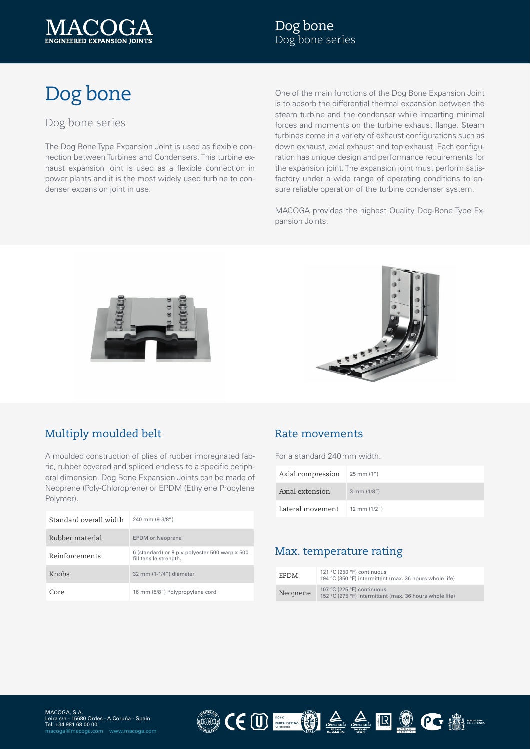

# Dog bone

### Dog bone series

The Dog Bone Type Expansion Joint is used as flexible connection between Turbines and Condensers. This turbine exhaust expansion joint is used as a flexible connection in power plants and it is the most widely used turbine to condenser expansion joint in use.

One of the main functions of the Dog Bone Expansion Joint is to absorb the differential thermal expansion between the steam turbine and the condenser while imparting minimal forces and moments on the turbine exhaust flange. Steam turbines come in a variety of exhaust configurations such as down exhaust, axial exhaust and top exhaust. Each configuration has unique design and performance requirements for the expansion joint. The expansion joint must perform satisfactory under a wide range of operating conditions to ensure reliable operation of the turbine condenser system.

MACOGA provides the highest Quality Dog-Bone Type Expansion Joints.





# Multiply moulded belt

A moulded construction of plies of rubber impregnated fabric, rubber covered and spliced endless to a specific peripheral dimension. Dog Bone Expansion Joints can be made of Neoprene (Poly-Chloroprene) or EPDM (Ethylene Propylene Polymer).

| Standard overall width | 240 mm (9-3/8")                                                          |
|------------------------|--------------------------------------------------------------------------|
| Rubber material        | <b>EPDM</b> or Neoprene                                                  |
| Reinforcements         | 6 (standard) or 8 ply polyester 500 warp x 500<br>fill tensile strength. |
| Knobs                  | 32 mm (1-1/4") diameter                                                  |
| Core                   | 16 mm (5/8") Polypropylene cord                                          |

#### Rate movements

For a standard 240mm width.

| Axial compression | $25 \, \text{mm}$ (1") |
|-------------------|------------------------|
| Axial extension   | $3$ mm $(1/8")$        |
| Lateral movement  | $12 \text{ mm} (1/2")$ |

#### Max. temperature rating

| <b>EPDM</b> | 121 °C (250 °F) continuous<br>194 °C (350 °F) intermittent (max. 36 hours whole life) |
|-------------|---------------------------------------------------------------------------------------|
| Neoprene    | 107 °C (225 °F) continuous<br>152 °C (275 °F) intermittent (max. 36 hours whole life) |